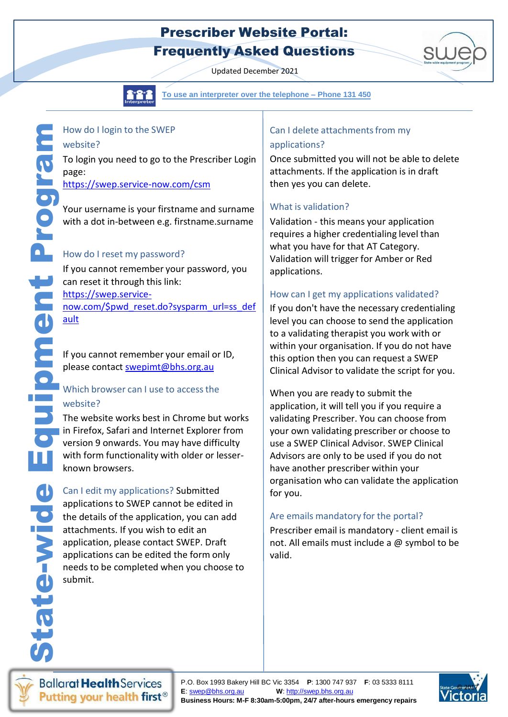## Prescriber Website Portal: Frequently Asked Questions

Updated December 2021



[https://swep.service-](https://swep.service-now.com/%24pwd_reset.do?sysparm_url=ss_default)

<u>[ault](https://swep.service-now.com/%24pwd_reset.do?sysparm_url=ss_default)</u>

website?

**To use an interpreter over the telephone - Phone 131 To use an interpreter over the telephone – Phone131 450**

# Can I delete attachments from my

#### applications?

Once submitted you will not be able to delete attachments. If the application is in draft then yes you can delete.

### What is validation?

Validation - this means your application requires a higher credentialing level than what you have for that AT Category. Validation will trigger for Amber or Red applications.

#### How can I get my applications validated?

If you don't have the necessary credentialing level you can choose to send the application to a validating therapist you work with or within your organisation. If you do not have this option then you can request a SWEP Clinical Advisor to validate the script for you.

When you are ready to submit the application, it will tell you if you require a validating Prescriber. You can choose from your own validating prescriber or choose to use a SWEP Clinical Advisor. SWEP Clinical Advisors are only to be used if you do not have another prescriber within your organisation who can validate the application for you.

### Are emails mandatory for the portal?

Prescriber email is mandatory - client email is not. All emails must include a @ symbol to be valid.

**Ballarat Health Services** Putting your health first<sup>®</sup>